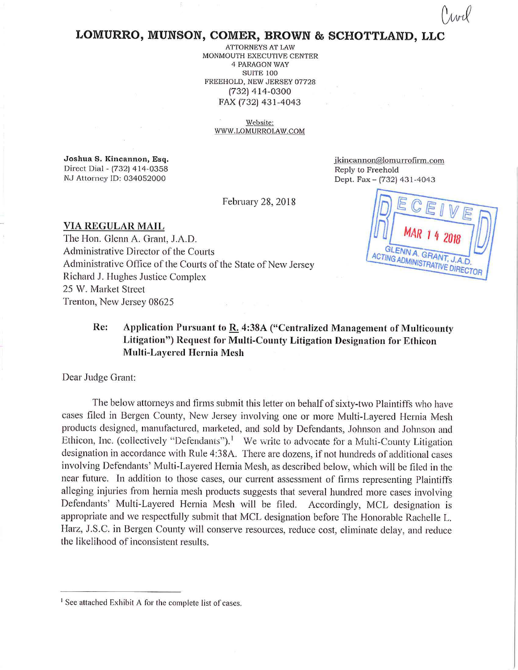## **LOMURRO, MUNSON, COMER, BROWN & SCHOTTLAND, LLC**

ATTORNEYS AT LAW MONMOUTH EXECUTIVE CENTER 4 PARAGON WAY SUITE 100 FREEHOLD, NEW JERSEY 07728 (732) 414-0300 FAX (732) 431-4043

> Website: WWW.LOMURROLA\V.COM

**Joshua S. Kincannon, Esq.**  Direct Dial - (732) 414-0358 NJ Attorney ID: 034052000

jkincannon@lomurrofirm.com Reply to Freehold Dept. Fax - (732) 431-4043

February 28, 2018

**VIA REGULAR MAIL**  The Hon. Glenn A. Grant, J.A.D. Administrative Director of the Courts Administrative Office of the Courts of the State of New Jersey Richard J. Hughes Justice Complex 25 W. Market Street Trenton, New Jersey 08625

GLENN A. GRANT ACTING ADMINISTRATIVE DIRECTOR

## **Re: Application Pursuant to R. 4:38A ("Centralized Management of Multicounty Litigation") Request for Multi-County Litigation Designation for Ethicon Multi-Layered Hernia Mesh**

Dear Judge Grant:

The below attorneys and firms submit this letter on behalf of sixty-two Plaintiffs who have cases filed in Bergen County, New Jersey involving one or more Multi-Layered Hernia Mesh products designed, manufactured, marketed, and sold by Defendants, Johnson and Johnson and Ethicon, Inc. (collectively "Defendants").<sup>1</sup> We write to advocate for a Multi-County Litigation designation in accordance with Rule 4:38A. There are dozens, if not hundreds of additional cases involving Defendants' Multi-Layered Hernia Mesh, as described below, which will be filed in the near future. In addition to those cases, our current assessment of firms representing Plaintiffs alleging injuries from hernia mesh products suggests that several hundred more cases involving Defendants' Multi-Layered Hernia Mesh will be filed. Accordingly, MCL designation is appropriate and we respectfully submit that MCL designation before The Honorable Rachelle L. Harz, J.S.C. in Bergen County will conserve resources, reduce cost, eliminate delay, and reduce the likelihood of inconsistent results.

<sup>&</sup>lt;sup>1</sup> See attached Exhibit A for the complete list of cases.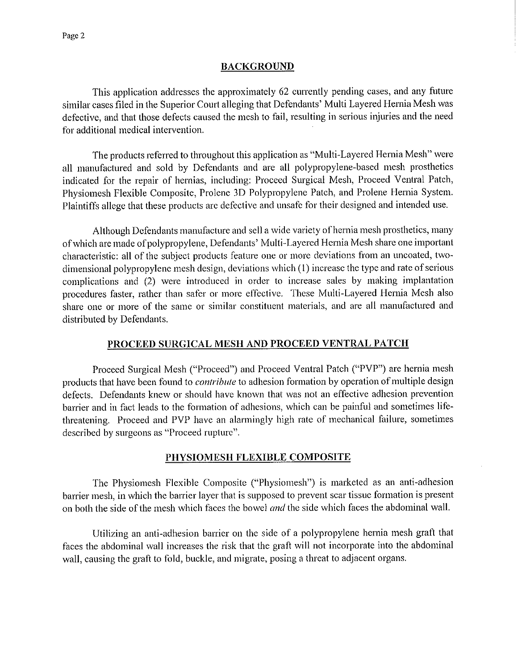## **BACKGROUND**

This application addresses the approximately 62 currently pending cases, and any future similar cases filed in the Superior Court alleging that Defendants' Multi Layered Hernia Mesh was defective, and that those defects caused the mesh to fail, resulting in serious injuries and the need for additional medical intervention.

The products referred to throughout this application as "Multi-Layered Hernia Mesh" were all manufactured and sold by Defendants and are all polypropylene-based mesh prosthetics indicated for the repair of hernias, including: Proceed Surgical Mesh, Proceed Ventral Patch, Physiomesh Flexible Composite, Prolene 3D Polypropylene Patch, and Prolene Hernia System. Plaintiffs allege that these products arc defective and unsafe for their designed and intended use.

Although Defendants manufacture and sell a wide variety of hernia mesh prosthetics, many of which are made of polypropylene, Defendants' Multi-Layered Hernia Mesh share one important characteristic: all of the subject products feature one or more deviations from an uncoated, twodimensional polypropylene mesh design, deviations which ( l) increase the type and rate of serious complications and (2) were introduced in order to increase sales by making implantation procedures faster, rather than safer or more effective. These Multi-Layered Hernia Mesh also share one or more of the same or similar constituent materials, and are all manufactured and distributed by Defendants.

## **PROCEED SURGICAL MESH AND PROCEED VENTRAL PATCH**

Proceed Surgical Mesh ("Proceed") and Proceed Ventral Patch ("PVP") are hernia mesh products that have been found to *contribute* to adhesion formation by operation of multiple design defects. Defendants knew or should have known that was not an effective adhesion prevention barrier and in fact leads to the formation of adhesions, which can be painful and sometimes lifethreatening. Proceed and PVP have an alarmingly high rate of mechanical failure, sometimes described by surgeons as "Proceed rupture".

## **PHYSIOMESH FLEXIBLE COMPOSITE**

The Physiomesh Flexible Composite ("Physiomesh") is marketed as an anti-adhesion barrier mesh, in which the barrier layer that is supposed to prevent scar tissue formation is present on both the side of the mesh which faces the bowel *and* the side which faces the abdominal wall.

Utilizing an anti-adhesion barrier on the side of a polypropylene hernia mesh graft that faces the abdominal wall increases the risk that the graft will not incorporate into the abdominal wall, causing the graft to fold, buckle, and migrate, posing a threat to adjacent organs.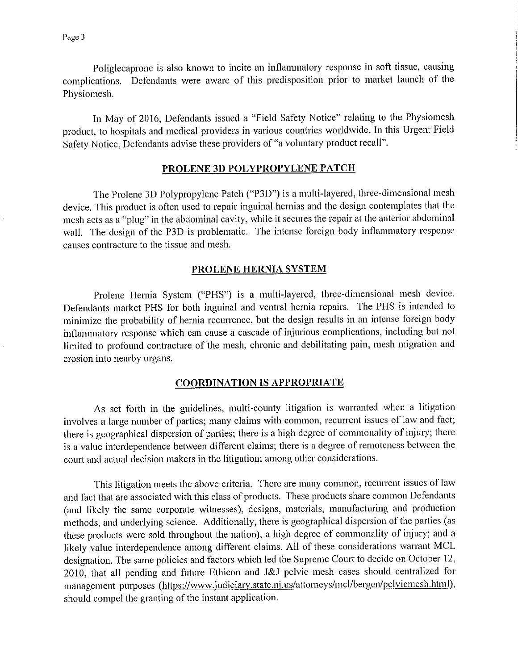Poliglecaprone is also known to incite an inflammatory response in soft tissue, causing complications. Defendants were aware of this predisposition prior to market launch of the Physiomesh.

In May of 2016, Defendants issued a "Field Safety Notice" relating to the Physiomesh product, to hospitals and medical providers in various countries worldwide. In this Urgent Field Safety Notice, Defendants advise these providers of "a voluntary product recall".

#### PROLENE 3D POLYPROPYLENE PATCH

The Prolene 3D Polypropylene Patch ("P3D") is a multi-layered, three-dimensional mesh device. This product is often used to repair inguinal hernias and the design contemplates that the mesh acts as a "plug" in the abdominal cavity, while it secures the repair at the anterior abdominal wall. The design of the P3D is problematic. The intense foreign body inflammatory response causes contracture to the tissue and mesh.

## **PROLENE HERNIA SYSTEM**

Prolene Hernia System ("PHS") is a multi-layered, three-dimensional mesh device. Defendants market PHS for both inguinal and ventral hernia repairs. The PHS is intended to minimize the probability of hernia recurrence, but the design results in an intense foreign body inflammatory response which can cause a cascade of injurious complications, including but not limited to profound contracture of the mesh, chronic and debilitating pain, mesh migration and erosion into nearby organs.

#### **COORDINATION IS APPROPRIATE**

As set forth in the guidelines, multi-county litigation is warranted when a litigation involves a large number of parties; many claims with common, recurrent issues of law and fact; there is geographical dispersion of parties; there is a high degree of commonality of injury; there is a value intenlependence between different claims; there is a degree of remoteness between the court and actual decision makers in the litigation; among other considerations.

This litigation meets the above criteria. There are many common, recurrent issues of law and fact that are associated with this class of products. These products share common Defendants (and likely the same corporate witnesses), designs, materials, manufacturing and production methods, and underlying science. Additionally, there is geographical dispersion of the parties (as these products were sold throughout the nation), a high degree of commonality of injury; and a likely value interdependence among different claims. All of these considerations warrant MCL designation. The same policies and factors which led the Supreme Court to decide on October 12, 2010, that all pending and future Ethicon and J&J pelvic mesh cases should centralized for management purposes (https://www.judiciary.state.nj.us/attorneys/mcl/bergen/pelvicmesh.html), should compel the granting of the instant application.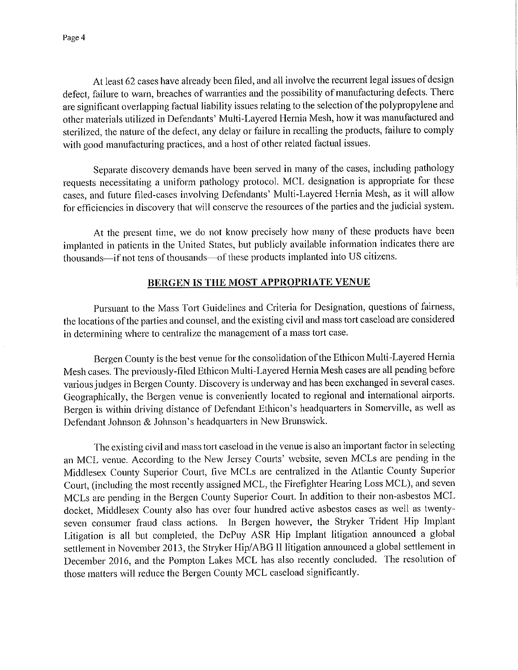At least 62 cases have already been filed, and all involve the recurrent legal issues of design defect, failure to warn, breaches of warranties and the possibility of manufacturing defects. There are significant overlapping factual liability issues relating to the selection of the polypropylene and other materials utilized in Defendants' Multi-Layered Hernia Mesh, how it was manufactured and sterilized, the nature of the defect, any delay or failure in recalling the products, failure to comply with good manufacturing practices, and a host of other related factual issues.

Separate discovery demands have been served in many of the cases, including pathology requests necessitating a uniform pathology protocol. MCL designation is appropriate for these cases, and future filed-cases involving Defendants' Multi-Layered Hernia Mesh, as it will allow for efficiencies in discovery that will conserve the resources of the parties and the judicial system.

At the present time, we do not know precisely how many of these products have been implanted in patients in the United States, but publicly available information indicates there are thousands~if not tens of thousands~of these products implanted into US citizens.

#### **BERGEN IS THE MOST APPROPRIATE VENUE**

Pursuant to the Mass Tort Guidelines and Criteria for Designation, questions of fairness, the locations of the parties and counsel, and the existing civil and mass tort caseload are considered in determining where to centralize the management of a mass tort case.

Bergen County is the best venue for the consolidation of the Ethicon Multi-Layered Hernia Mesh cases. The previously-filed Ethicon Multi-Layered Hernia Mesh cases are all pending before various judges in Bergen County. Discovery is underway and has been exchanged in several cases. Geographically, the Bergen venue is conveniently located to regional and international airports. Bergen is within driving distance of Defendant Ethicon's headquarters in Somerville, as well as Defendant Johnson & Johnson's headquarters in New Brunswick.

The existing civil and mass tort caseload in the venue is also an important factor in selecting an MCL venue. According to the New Jersey Courts' website, seven MCLs are pending in the Middlesex County Superior Court, five MCLs are centralized in the Atlantic County Superior Court, (including the most recently assigned MCL, the Firefighter Hearing Loss MCL), and seven MCLs are pending in the Bergen County Superior Court. In addition to their non-asbestos MCL docket, Middlesex County also has over four hundred active asbestos cases as well as twentyseven consumer fraud class actions. In Bergen however, the Stryker Trident Hip Implant Litigation is all but completed, the DePuy ASR Hip Implant litigation announced a global settlement in November 2013, the Stryker Hip/ABG II litigation announced a global settlement in December 2016, and the Pompton Lakes MCL has also recently concluded. The resolution of those matters will reduce the Bergen County MCL caseload significantly.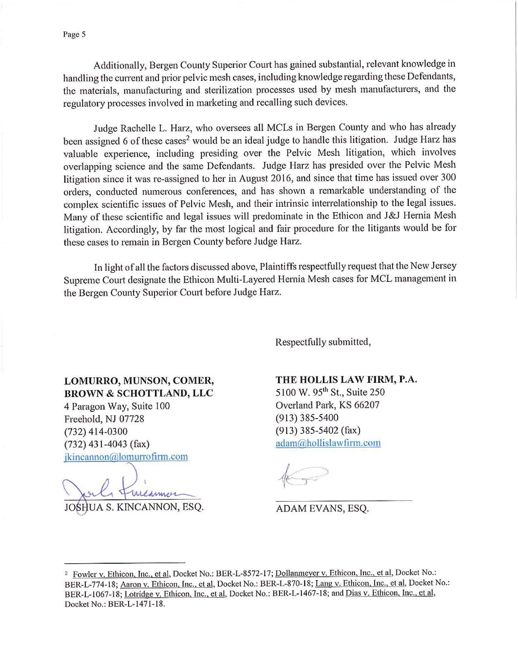Additionally, Bergen County Superior Court has gained substantial, relevant knowledge in handling the current and prior pelvic mesh cases, including knowledge regarding these Defendants, the materials, manufacturing and sterilization processes used by mesh manufacturers, and the regulatory processes involved in marketing and recalling such devices.

Judge Rachelle L. Harz, who oversees all MCLs in Bergen County and who has already been assigned 6 of these cases<sup>2</sup> would be an ideal judge to handle this litigation. Judge Harz has valuable experience, including presiding over the Pelvic Mesh litigation, which involves overlapping science and the same Defendants. Judge Harz has presided over the Pelvic Mesh litigation since it was re-assigned to her in August 2016, and since that time has issued over 300 orders, conducted numerous conferences, and has shown a remarkable understanding of the complex scientific issues of Pelvic Mesh, and their intrinsic interrelationship to the legal issues. Many of these scientific and legal issues will predominate in the Ethicon and J&J Hernia Mesh litigation. Accordingly, by far the most logical and fair procedure for the litigants would be for these cases to remain in Bergen County before Judge Harz.

In light of all the factors discussed above, Plaintiffs respectfully request that the New Jersey Supreme Court designate the Ethicon Multi-Layered Hernia Mesh cases for MCL management in the Bergen County Superior Court before Judge Harz.

Respectfully submitted,

## **LOMURRO, MUNSON, COMER, BROWN & SCHOTTLAND, LLC**

4 Paragon Way, Suite 100 Freehold, NJ 07728 (732) 414-0300 (732) 431-4043 (fax) jkincannon@lomurrofirm.com

meannor JOSHUA S. KINCANNON, ESQ.

## **THE HOLLIS LAW FIRM, P.A.**

5100 W. 95th St., Suite 250 Overland Park, KS 66207 (913) 385-5400 (913) 385-5402 (fax) adam@hollislawfinn.com

ADAM EVANS, ESQ.

<sup>&</sup>lt;sup>2</sup> Fowler v. Ethicon, Inc., et al, Docket No.: BER-L-8572-17; Dollanmeyer v. Ethicon, Inc., et al, Docket No.: BER-L-774-18; Aaron v. Ethicon, Inc., et al, Docket No.: BER-L-870-18; Lang v. Ethicon, Inc., et al, Docket No.: BER-L-1067-18; Lotridge v. Ethicon, Inc., et al, Docket No.: BER-L-1467-18; and Dias v. Ethicon, Inc., et al, Docket No.: BER-L-1471-18.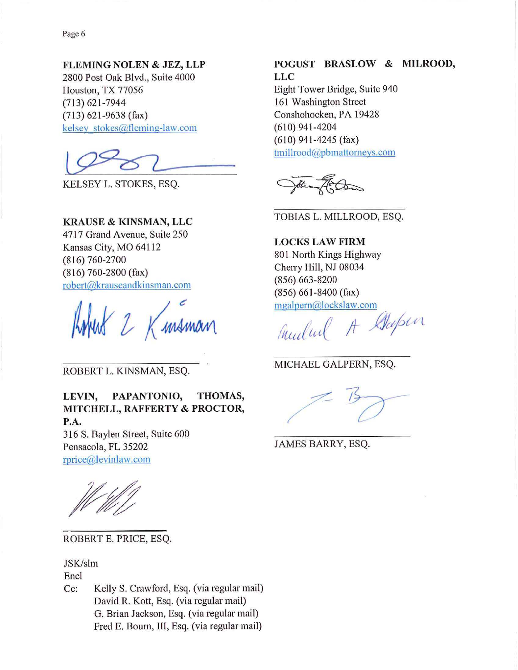Page 6

**FLEMING NOLEN** & **JEZ, LLP**  2800 Post Oak Blvd., Suite 4000 Houston, TX 77056 (713) 621-7944 (713) 621-9638 (fax) kelsey stokes@fleming-law.com

KELSEY L. STOKES, ESQ.

## **KRAUSE** & **KINSMAN, LLC**

4717 Grand Avenue, Suite 250 Kansas City, MO 64112 (816) 760-2700 (816) 760-2800 (fax) robert@krauseandkinsman.com

2 Kmsman

ROBERT L. KINSMAN, ESQ.

**LEVIN, PAPANTONIO, THOMAS, MITCHELL, RAFFERTY** & **PROCTOR, P.A.** 

316 S. Baylen Street, Suite 600 Pensacola, FL 35202 rprice@levinlaw.com

ROBERT E. PRICE, ESQ.

JSK/slm

Encl

Cc: Kelly S. Crawford, Esq. (via regular mail) David R. Kott, Esq. (via regular mail) G. Brian Jackson, Esq. (via regular mail) Fred E. Bourn, III, Esq. (via regular mail)

## **POGUST BRASLOW** & **MILROOD, LLC**

Eight Tower Bridge, Suite 940 161 Washington Street Conshohocken, PA 19428 (610) 941-4204 (610) 941-4245 (fax) tmillrood@pbmattorneys.com

TOBIAS L. MILLROOD, ESQ.

**LOCKS LAW FIRM**  801 North Kings Highway Cherry Hill, NJ 08034 (856) 663-8200 (856) 661-8400 (fax) mgalpern@lockslaw.com

*I' (* /J A-- *Jft/6t,* <sup>t</sup> *Inculture* It sure

MICHAEL GALPERN, ESQ.

JAMES BARRY, ESQ.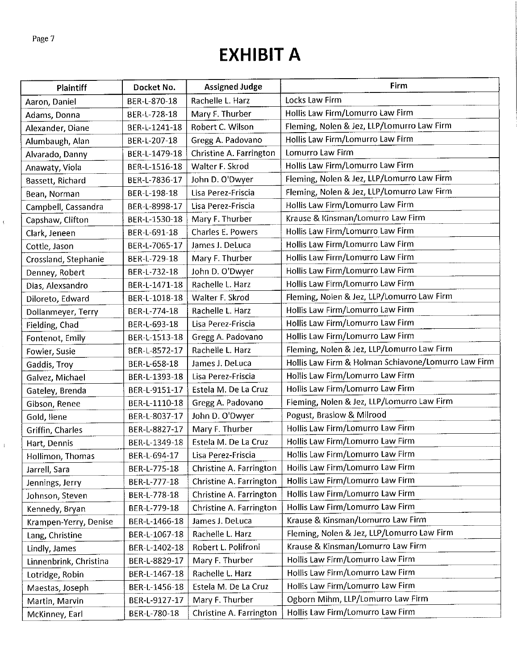$\bar{V}$ 

 $\frac{1}{4}$ 

# **EXHIBIT A**

| Plaintiff              | Docket No.    | <b>Assigned Judge</b>   | <b>Firm</b>                                         |
|------------------------|---------------|-------------------------|-----------------------------------------------------|
| Aaron, Daniel          | BER-L-870-18  | Rachelle L. Harz        | Locks Law Firm                                      |
| Adams, Donna           | BER-L-728-18  | Mary F. Thurber         | Hollis Law Firm/Lomurro Law Firm                    |
| Alexander, Diane       | BER-L-1241-18 | Robert C. Wilson        | Fleming, Nolen & Jez, LLP/Lomurro Law Firm          |
| Alumbaugh, Alan        | BER-L-207-18  | Gregg A. Padovano       | Hollis Law Firm/Lomurro Law Firm                    |
| Alvarado, Danny        | BER-L-1479-18 | Christine A. Farrington | Lomurro Law Firm                                    |
| Anawaty, Viola         | BER-L-1516-18 | Walter F. Skrod         | Hollis Law Firm/Lomurro Law Firm                    |
| Bassett, Richard       | BER-L-7836-17 | John D. O'Dwyer         | Fleming, Nolen & Jez, LLP/Lomurro Law Firm          |
| Bean, Norman           | BER-L-198-18  | Lisa Perez-Friscia      | Fleming, Nolen & Jez, LLP/Lomurro Law Firm          |
| Campbell, Cassandra    | BER-L-8998-17 | Lisa Perez-Friscia      | Hollis Law Firm/Lomurro Law Firm                    |
| Capshaw, Clifton       | BER-L-1530-18 | Mary F. Thurber         | Krause & Kinsman/Lomurro Law Firm                   |
| Clark, Jeneen          | BER-L-691-18  | Charles E. Powers       | Hollis Law Firm/Lomurro Law Firm                    |
| Cottle, Jason          | BER-L-7065-17 | James J. DeLuca         | Hollis Law Firm/Lomurro Law Firm                    |
| Crossland, Stephanie   | BER-L-729-18  | Mary F. Thurber         | Hollis Law Firm/Lomurro Law Firm                    |
| Denney, Robert         | BER-L-732-18  | John D. O'Dwyer         | Hollis Law Firm/Lomurro Law Firm                    |
| Dias, Alexsandro       | BER-L-1471-18 | Rachelle L. Harz        | Hollis Law Firm/Lomurro Law Firm                    |
| Diloreto, Edward       | BER-L-1018-18 | Walter F. Skrod         | Fleming, Nolen & Jez, LLP/Lomurro Law Firm          |
| Dollanmeyer, Terry     | BER-L-774-18  | Rachelle L. Harz        | Hollis Law Firm/Lomurro Law Firm                    |
| Fielding, Chad         | BER-L-693-18  | Lisa Perez-Friscia      | Hollis Law Firm/Lomurro Law Firm                    |
| Fontenot, Emily        | BER-L-1513-18 | Gregg A. Padovano       | Hollis Law Firm/Lomurro Law Firm                    |
| Fowler, Susie          | BER-L-8572-17 | Rachelle L. Harz        | Fleming, Nolen & Jez, LLP/Lomurro Law Firm          |
| Gaddis, Troy           | BER-L-658-18  | James J. DeLuca         | Hollis Law Firm & Holman Schiavone/Lomurro Law Firm |
| Galvez, Michael        | BER-L-1393-18 | Lisa Perez-Friscia      | Hollis Law Firm/Lomurro Law Firm                    |
| Gateley, Brenda        | BER-L-9151-17 | Estela M. De La Cruz    | Hollis Law Firm/Lomurro Law Firm                    |
| Gibson, Renee          | BER-L-1110-18 | Gregg A. Padovano       | Fleming, Nolen & Jez, LLP/Lomurro Law Firm          |
| Gold, llene            | BER-L-8037-17 | John D. O'Dwyer         | Pogust, Braslow & Milrood                           |
| Griffin, Charles       | BER-L-8827-17 | Mary F. Thurber         | Hollis Law Firm/Lomurro Law Firm                    |
| Hart, Dennis           | BER-L-1349-18 | Estela M. De La Cruz    | Hollis Law Firm/Lomurro Law Firm                    |
| Hollimon, Thomas       | BER-L-694-17  | Lisa Perez-Friscia      | Hollis Law Firm/Lomurro Law Firm                    |
| Jarrell, Sara          | BER-L-775-18  | Christine A. Farrington | Hollis Law Firm/Lomurro Law Firm                    |
| Jennings, Jerry        | BER-L-777-18  | Christine A. Farrington | Hollis Law Firm/Lomurro Law Firm                    |
| Johnson, Steven        | BER-L-778-18  | Christine A. Farrington | Hollis Law Firm/Lomurro Law Firm                    |
| Kennedy, Bryan         | BER-L-779-18  | Christine A. Farrington | Hollis Law Firm/Lomurro Law Firm                    |
| Krampen-Yerry, Denise  | BER-L-1466-18 | James J. DeLuca         | Krause & Kinsman/Lomurro Law Firm                   |
| Lang, Christine        | BER-L-1067-18 | Rachelle L. Harz        | Fleming, Nolen & Jez, LLP/Lomurro Law Firm          |
| Lindly, James          | BER-L-1402-18 | Robert L. Polifroni     | Krause & Kinsman/Lomurro Law Firm                   |
| Linnenbrink, Christina | BER-L-8829-17 | Mary F. Thurber         | Hollis Law Firm/Lomurro Law Firm                    |
| Lotridge, Robin        | BER-L-1467-18 | Rachelle L. Harz        | Hollis Law Firm/Lomurro Law Firm                    |
| Maestas, Joseph        | BER-L-1456-18 | Estela M. De La Cruz    | Hollis Law Firm/Lomurro Law Firm                    |
| Martin, Marvin         | BER-L-9127-17 | Mary F. Thurber         | Ogborn Mihm, LLP/Lomurro Law Firm                   |
| McKinney, Earl         | BER-L-780-18  | Christine A. Farrington | Hollis Law Firm/Lomurro Law Firm                    |